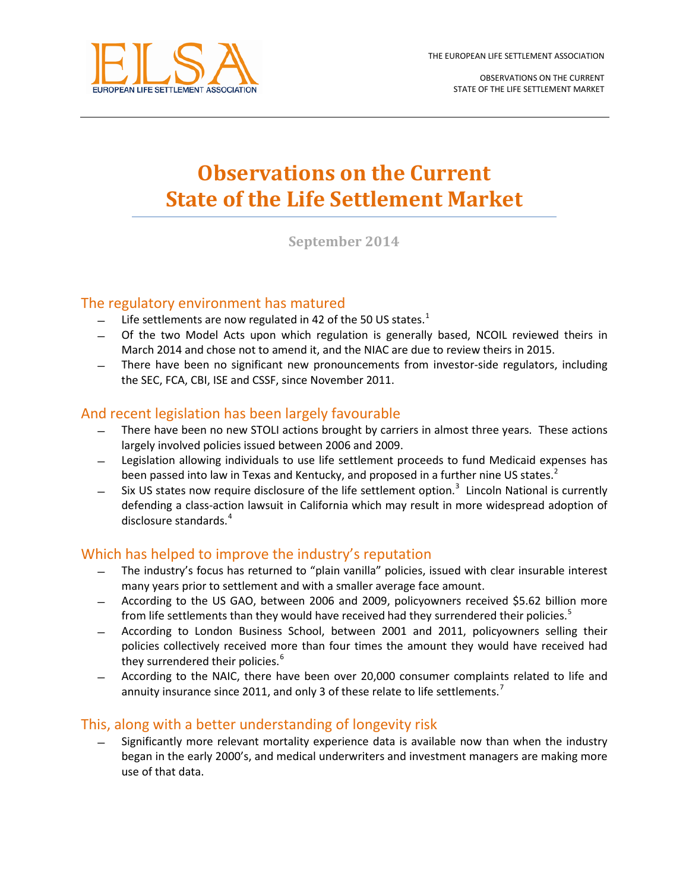

OBSERVATIONS ON THE CURRENT STATE OF THE LIFE SETTLEMENT MARKET

# **Observations on the Current State of the Life Settlement Market**

**September 2014**

# The regulatory environment has matured

- Life settlements are now regulated in 42 of the 50 US states.<sup>[1](#page-2-0)</sup>
- ̶ Of the two Model Acts upon which regulation is generally based, NCOIL reviewed theirs in March 2014 and chose not to amend it, and the NIAC are due to review theirs in 2015.
- ̶ There have been no significant new pronouncements from investor-side regulators, including the SEC, FCA, CBI, ISE and CSSF, since November 2011.

# And recent legislation has been largely favourable

- ̶ There have been no new STOLI actions brought by carriers in almost three years. These actions largely involved policies issued between 2006 and 2009.
- ̶ Legislation allowing individuals to use life settlement proceeds to fund Medicaid expenses has been passed into law in Texas and Kentucky, and proposed in a further nine US states.<sup>[2](#page-2-1)</sup>
- Six US states now require disclosure of the life settlement option.<sup>[3](#page-2-2)</sup> Lincoln National is currently defending a class-action lawsuit in California which may result in more widespread adoption of disclosure standards.<sup>[4](#page-2-3)</sup>

# Which has helped to improve the industry's reputation

- ̶ The industry's focus has returned to "plain vanilla" policies, issued with clear insurable interest many years prior to settlement and with a smaller average face amount.
- ̶ According to the US GAO, between 2006 and 2009, policyowners received \$5.62 billion more from life settlements than they would have received had they surrendered their policies.<sup>[5](#page-2-4)</sup>
- ̶ According to London Business School, between 2001 and 2011, policyowners selling their policies collectively received more than four times the amount they would have received had they surrendered their policies.<sup>[6](#page-2-5)</sup>
- ̶ According to the NAIC, there have been over 20,000 consumer complaints related to life and annuity insurance since 2011, and only 3 of these relate to life settlements.<sup>[7](#page-2-6)</sup>

# This, along with a better understanding of longevity risk

Significantly more relevant mortality experience data is available now than when the industry began in the early 2000's, and medical underwriters and investment managers are making more use of that data.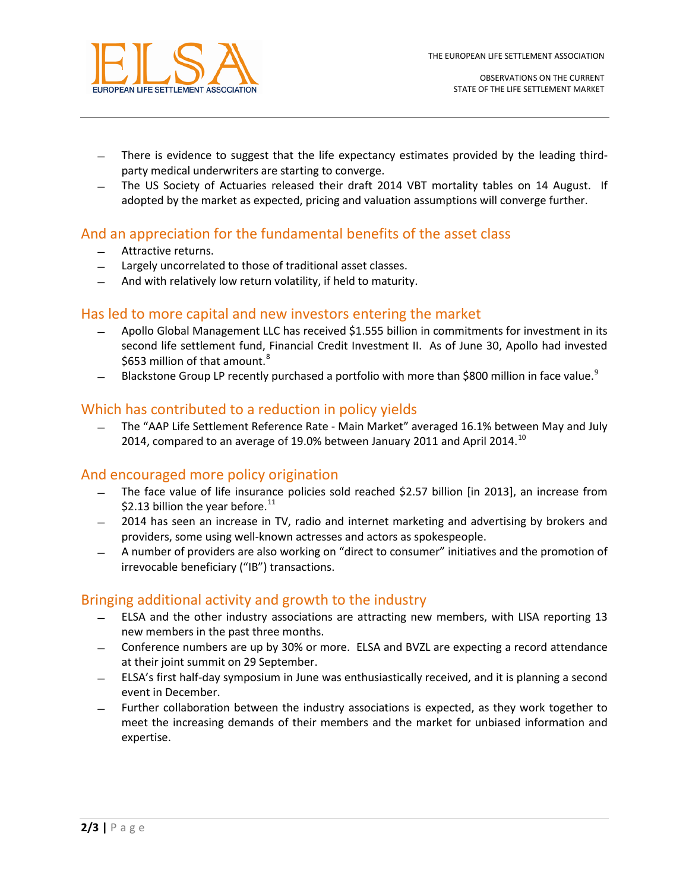

- ̶ There is evidence to suggest that the life expectancy estimates provided by the leading thirdparty medical underwriters are starting to converge.
- ̶ The US Society of Actuaries released their draft 2014 VBT mortality tables on 14 August. If adopted by the market as expected, pricing and valuation assumptions will converge further.

# And an appreciation for the fundamental benefits of the asset class

- ̶ Attractive returns.
- ̶ Largely uncorrelated to those of traditional asset classes.
- ̶ And with relatively low return volatility, if held to maturity.

#### Has led to more capital and new investors entering the market

- ̶ Apollo Global Management LLC has received \$1.555 billion in commitments for investment in its second life settlement fund, Financial Credit Investment II. As of June 30, Apollo had invested \$653 million of that amount.<sup>[8](#page-2-7)</sup>
- Blackstone Group LP recently purchased a portfolio with more than \$800 million in face value.<sup>[9](#page-2-8)</sup>

#### Which has contributed to a reduction in policy yields

̶ The "AAP Life Settlement Reference Rate - Main Market" averaged 16.1% between May and July 2014, compared to an average of 19.0% between January 2011 and April 2014.<sup>[10](#page-2-9)</sup>

# And encouraged more policy origination

- ̶ The face value of life insurance policies sold reached \$2.57 billion [in 2013], an increase from \$2.13 billion the year before. $^{11}$  $^{11}$  $^{11}$
- ̶ 2014 has seen an increase in TV, radio and internet marketing and advertising by brokers and providers, some using well-known actresses and actors as spokespeople.
- ̶ A number of providers are also working on "direct to consumer" initiatives and the promotion of irrevocable beneficiary ("IB") transactions.

# Bringing additional activity and growth to the industry

- ̶ ELSA and the other industry associations are attracting new members, with LISA reporting 13 new members in the past three months.
- ̶ Conference numbers are up by 30% or more. ELSA and BVZL are expecting a record attendance at their joint summit on 29 September.
- ̶ ELSA's first half-day symposium in June was enthusiastically received, and it is planning a second event in December.
- ̶ Further collaboration between the industry associations is expected, as they work together to meet the increasing demands of their members and the market for unbiased information and expertise.